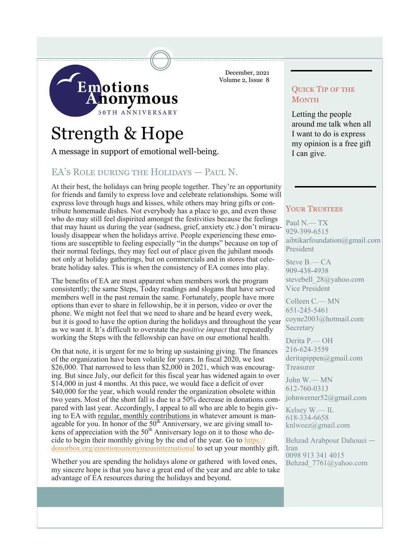

# Strength & Hope

A message in support of emotional well-being.

## EA's ROLE DURING THE HOLIDAYS - PAUL N.

At their best, the holidays can bring people together. They're an opportunity for friends and family to express love and celebrate relationships. Some will express love through hugs and kisses, while others may bring gifts or contribute homemade dishes. Not everybody has a place to go, and even those who do may still feel dispirited amongst the festivities because the feelings that may haunt us during the year (sadness, grief, anxiety etc.) don't miraculously disappear when the holidays arrive. People experiencing these emotions are susceptible to feeling especially "in the dumps" because on top of their normal feelings, they may feel out of place given the jubilant moods not only at holiday gatherings, but on commercials and in stores that celebrate holiday sales. This is when the consistency of EA comes into play.

The benefits of EA are most apparent when members work the program consistently; the same Steps, Today readings and slogans that have served members well in the past remain the same. Fortunately, people have more options than ever to share in fellowship, be it in person, video or over the phone. We might not feel that we need to share and be heard every week, but it is good to have the option during the holidays and throughout the year as we want it. It's difficult to overstate the *positive impact* that repeatedly working the Steps with the fellowship can have on our emotional health.

On that note, it is urgent for me to bring up sustaining giving. The finances of the organization have been volatile for years. In fiscal 2020, we lost \$26,000. That narrowed to less than \$2,000 in 2021, which was encouraging. But since July, our deficit for this fiscal year has widened again to over \$14,000 in just 4 months. At this pace, we would face a deficit of over \$40,000 for the year, which would render the organization obsolete within two years. Most of the short fall is due to a 50% decrease in donations compared with last year. Accordingly, I appeal to all who are able to begin giving to EA with regular, monthly contributions in whatever amount is manageable for you. In honor of the  $50<sup>th</sup>$  Anniversary, we are giving small tokens of appreciation with the  $50<sup>th</sup>$  Anniversary logo on it to those who decide to begin their monthly giving by the end of the year. Go to [https://](https://donorbox.org/emotionsanonymousinternational) [donorbox.org/emotionsanonymousinternational](https://donorbox.org/emotionsanonymousinternational) to set up your monthly gift.

Whether you are spending the holidays alone or gathered with loved ones, my sincere hope is that you have a great end of the year and are able to take advantage of EA resources during the holidays and beyond.

December, 2021 Volume 2, Issue 8

## Quick Tip of the **MONTH**

Letting the people around me talk when all I want to do is express my opinion is a free gift I can give.

#### YOUR TRUSTEES

Paul N.— TX 929-399-6515 aibtikarfoundation@gmail.com President

Steve B.— CA 909-438-4938 stevebell\_28@yahoo.com Vice President

Colleen C.— MN 651-245-5461 coyne2003@hotmail.com Secretary

Derita P.— OH 216-624-3559 deritapippen@gmail.com Treasurer

John W.— MN 612-760-0313 johnwerner52@gmail.com

Kelsey W.— IL 618-334-6658 knlweez@gmail.com

Behzad Arabpour Dahouei — Iran 0098 913 341 4015 Behzad\_7761@yahoo.com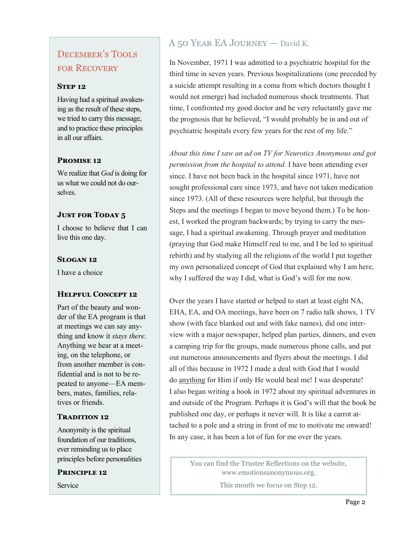# December's Tools for Recovery

#### **STEP 12**

Having had a spiritual awakening as the result of these steps, we tried to carry this message, and to practice these principles in all our affairs.

### **Promise 12**

We realize that *God* is doing for us what we could not do ourselves.

### **JUST FOR TODAY 5**

I choose to believe that I can live this one day.

#### **Slogan 12**

I have a choice

#### **Helpful Concept 12**

Part of the beauty and wonder of the EA program is that at meetings we can say anything and know it *stays there*. Anything we hear at a meeting, on the telephone, or from another member is confidential and is not to be repeated to anyone—EA members, mates, families, relatives or friends.

#### **TRADITION 12**

Anonymity is the spiritual foundation of our traditions, ever reminding us to place principles before personalities

**Principle 12**

Service

## A 50 Year EA Journey — David K.

In November, 1971 I was admitted to a psychiatric hospital for the third time in seven years. Previous hospitalizations (one preceded by a suicide attempt resulting in a coma from which doctors thought I would not emerge) had included numerous shock treatments. That time, I confronted my good doctor and he very reluctantly gave me the prognosis that he believed, "I would probably be in and out of psychiatric hospitals every few years for the rest of my life."

*About this time I saw an ad on TV for Neurotics Anonymous and got permission from the hospital to attend.* I have been attending ever since. I have not been back in the hospital since 1971, have not sought professional care since 1973, and have not taken medication since 1973. (All of these resources were helpful, but through the Steps and the meetings I began to move beyond them.) To be honest, I worked the program backwards; by trying to carry the message, I had a spiritual awakening. Through prayer and meditation (praying that God make Himself real to me, and I be led to spiritual rebirth) and by studying all the religions of the world I put together my own personalized concept of God that explained why I am here, why I suffered the way I did, what is God's will for me now.

Over the years I have started or helped to start at least eight NA, EHA, EA, and OA meetings, have been on 7 radio talk shows, 1 TV show (with face blanked out and with fake names), did one interview with a major newspaper, helped plan parties, dinners, and even a camping trip for the groups, made numerous phone calls, and put out numerous announcements and flyers about the meetings. I did all of this because in 1972 I made a deal with God that I would do anything for Him if only He would heal me! I was desperate! I also began writing a book in 1972 about my spiritual adventures in and outside of the Program. Perhaps it is God's will that the book be published one day, or perhaps it never will. It is like a carrot attached to a pole and a string in front of me to motivate me onward! In any case, it has been a lot of fun for me over the years.

You can find the Trustee Reflections on the website, www.emotionsanonymous.org.

This month we focus on Step 12.